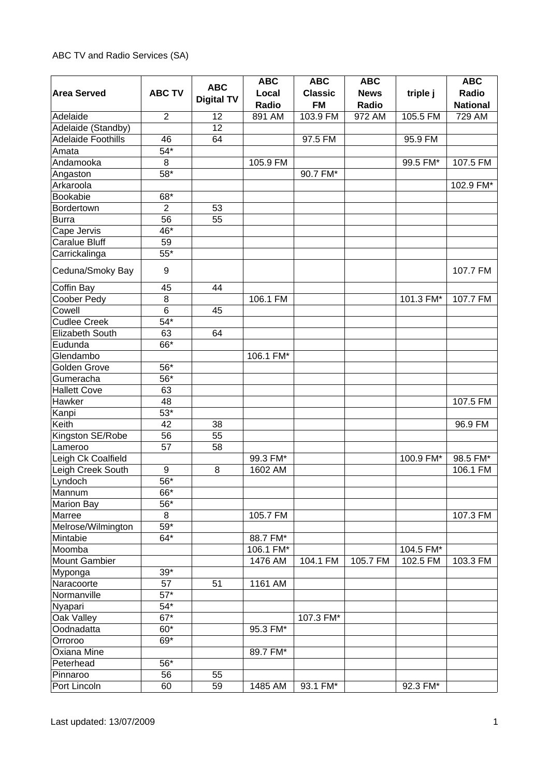## ABC TV and Radio Services (SA)

| <b>ABC TV</b><br>Radio<br><b>Area Served</b><br>Local<br><b>Classic</b><br><b>News</b><br>triple j<br><b>Digital TV</b><br><b>FM</b><br>Radio<br>Radio<br><b>National</b><br>Adelaide<br>12<br>891 AM<br>103.9 FM<br>972 AM<br>105.5 FM<br>729 AM<br>$\overline{2}$<br>12<br>Adelaide (Standby)<br>Adelaide Foothills<br>46<br>97.5 FM<br>64<br>95.9 FM<br>$54*$<br>Amata<br>Andamooka<br>$\,8\,$<br>105.9 FM<br>99.5 FM*<br>107.5 FM<br>$58*$<br>Angaston<br>90.7 FM*<br>Arkaroola<br>102.9 FM*<br>Bookabie<br>68*<br>Bordertown<br>$\overline{2}$<br>53<br>56<br><b>Burra</b><br>55<br>46*<br>Cape Jervis<br><b>Caralue Bluff</b><br>59<br>$55*$<br>Carrickalinga<br>Ceduna/Smoky Bay<br>9<br>107.7 FM<br>Coffin Bay<br>44<br>45<br>Coober Pedy<br>8<br>106.1 FM<br>101.3 FM*<br>107.7 FM<br>$6\phantom{1}$<br>Cowell<br>45<br>$54*$<br><b>Cudlee Creek</b><br>63<br>Elizabeth South<br>64<br>66*<br>Eudunda<br>Glendambo<br>106.1 FM*<br>Golden Grove<br>56*<br>56*<br>Gumeracha<br><b>Hallett Cove</b><br>63<br>Hawker<br>48<br>107.5 FM<br>$53*$<br>Kanpi<br>Keith<br>42<br>38<br>96.9 FM<br>Kingston SE/Robe<br>55<br>56<br>57<br>58<br>Lameroo<br>Leigh Ck Coalfield<br>99.3 FM*<br>100.9 FM*<br>98.5 FM*<br>Leigh Creek South<br>1602 AM<br>106.1 FM<br>9<br>8<br>$\overline{56}^*$<br>Lyndoch<br>66*<br>Mannum<br>56*<br><b>Marion Bay</b><br>Marree<br>8<br>105.7 FM<br>107.3 FM<br>$59*$<br>Melrose/Wilmington<br>$64*$<br>Mintabie<br>88.7 FM*<br>Moomba<br>106.1 FM*<br>104.5 FM*<br><b>Mount Gambier</b><br>1476 AM<br>104.1 FM<br>105.7 FM<br>102.5 FM<br>103.3 FM<br>$39*$<br>Myponga<br>Naracoorte<br>57<br>$1161$ AM<br>51<br>$57*$<br>Normanville<br>$54*$<br>Nyapari<br>$\overline{67}^*$<br>Oak Valley<br>107.3 FM*<br>$60*$<br>Oodnadatta<br>95.3 FM*<br>69*<br>Orroroo |  |            | <b>ABC</b> | <b>ABC</b> | <b>ABC</b> | <b>ABC</b> |
|-----------------------------------------------------------------------------------------------------------------------------------------------------------------------------------------------------------------------------------------------------------------------------------------------------------------------------------------------------------------------------------------------------------------------------------------------------------------------------------------------------------------------------------------------------------------------------------------------------------------------------------------------------------------------------------------------------------------------------------------------------------------------------------------------------------------------------------------------------------------------------------------------------------------------------------------------------------------------------------------------------------------------------------------------------------------------------------------------------------------------------------------------------------------------------------------------------------------------------------------------------------------------------------------------------------------------------------------------------------------------------------------------------------------------------------------------------------------------------------------------------------------------------------------------------------------------------------------------------------------------------------------------------------------------------------------------------------------------------------------------------------------------------------------------|--|------------|------------|------------|------------|------------|
|                                                                                                                                                                                                                                                                                                                                                                                                                                                                                                                                                                                                                                                                                                                                                                                                                                                                                                                                                                                                                                                                                                                                                                                                                                                                                                                                                                                                                                                                                                                                                                                                                                                                                                                                                                                               |  | <b>ABC</b> |            |            |            |            |
|                                                                                                                                                                                                                                                                                                                                                                                                                                                                                                                                                                                                                                                                                                                                                                                                                                                                                                                                                                                                                                                                                                                                                                                                                                                                                                                                                                                                                                                                                                                                                                                                                                                                                                                                                                                               |  |            |            |            |            |            |
|                                                                                                                                                                                                                                                                                                                                                                                                                                                                                                                                                                                                                                                                                                                                                                                                                                                                                                                                                                                                                                                                                                                                                                                                                                                                                                                                                                                                                                                                                                                                                                                                                                                                                                                                                                                               |  |            |            |            |            |            |
|                                                                                                                                                                                                                                                                                                                                                                                                                                                                                                                                                                                                                                                                                                                                                                                                                                                                                                                                                                                                                                                                                                                                                                                                                                                                                                                                                                                                                                                                                                                                                                                                                                                                                                                                                                                               |  |            |            |            |            |            |
|                                                                                                                                                                                                                                                                                                                                                                                                                                                                                                                                                                                                                                                                                                                                                                                                                                                                                                                                                                                                                                                                                                                                                                                                                                                                                                                                                                                                                                                                                                                                                                                                                                                                                                                                                                                               |  |            |            |            |            |            |
|                                                                                                                                                                                                                                                                                                                                                                                                                                                                                                                                                                                                                                                                                                                                                                                                                                                                                                                                                                                                                                                                                                                                                                                                                                                                                                                                                                                                                                                                                                                                                                                                                                                                                                                                                                                               |  |            |            |            |            |            |
|                                                                                                                                                                                                                                                                                                                                                                                                                                                                                                                                                                                                                                                                                                                                                                                                                                                                                                                                                                                                                                                                                                                                                                                                                                                                                                                                                                                                                                                                                                                                                                                                                                                                                                                                                                                               |  |            |            |            |            |            |
|                                                                                                                                                                                                                                                                                                                                                                                                                                                                                                                                                                                                                                                                                                                                                                                                                                                                                                                                                                                                                                                                                                                                                                                                                                                                                                                                                                                                                                                                                                                                                                                                                                                                                                                                                                                               |  |            |            |            |            |            |
|                                                                                                                                                                                                                                                                                                                                                                                                                                                                                                                                                                                                                                                                                                                                                                                                                                                                                                                                                                                                                                                                                                                                                                                                                                                                                                                                                                                                                                                                                                                                                                                                                                                                                                                                                                                               |  |            |            |            |            |            |
|                                                                                                                                                                                                                                                                                                                                                                                                                                                                                                                                                                                                                                                                                                                                                                                                                                                                                                                                                                                                                                                                                                                                                                                                                                                                                                                                                                                                                                                                                                                                                                                                                                                                                                                                                                                               |  |            |            |            |            |            |
|                                                                                                                                                                                                                                                                                                                                                                                                                                                                                                                                                                                                                                                                                                                                                                                                                                                                                                                                                                                                                                                                                                                                                                                                                                                                                                                                                                                                                                                                                                                                                                                                                                                                                                                                                                                               |  |            |            |            |            |            |
|                                                                                                                                                                                                                                                                                                                                                                                                                                                                                                                                                                                                                                                                                                                                                                                                                                                                                                                                                                                                                                                                                                                                                                                                                                                                                                                                                                                                                                                                                                                                                                                                                                                                                                                                                                                               |  |            |            |            |            |            |
|                                                                                                                                                                                                                                                                                                                                                                                                                                                                                                                                                                                                                                                                                                                                                                                                                                                                                                                                                                                                                                                                                                                                                                                                                                                                                                                                                                                                                                                                                                                                                                                                                                                                                                                                                                                               |  |            |            |            |            |            |
|                                                                                                                                                                                                                                                                                                                                                                                                                                                                                                                                                                                                                                                                                                                                                                                                                                                                                                                                                                                                                                                                                                                                                                                                                                                                                                                                                                                                                                                                                                                                                                                                                                                                                                                                                                                               |  |            |            |            |            |            |
|                                                                                                                                                                                                                                                                                                                                                                                                                                                                                                                                                                                                                                                                                                                                                                                                                                                                                                                                                                                                                                                                                                                                                                                                                                                                                                                                                                                                                                                                                                                                                                                                                                                                                                                                                                                               |  |            |            |            |            |            |
|                                                                                                                                                                                                                                                                                                                                                                                                                                                                                                                                                                                                                                                                                                                                                                                                                                                                                                                                                                                                                                                                                                                                                                                                                                                                                                                                                                                                                                                                                                                                                                                                                                                                                                                                                                                               |  |            |            |            |            |            |
|                                                                                                                                                                                                                                                                                                                                                                                                                                                                                                                                                                                                                                                                                                                                                                                                                                                                                                                                                                                                                                                                                                                                                                                                                                                                                                                                                                                                                                                                                                                                                                                                                                                                                                                                                                                               |  |            |            |            |            |            |
|                                                                                                                                                                                                                                                                                                                                                                                                                                                                                                                                                                                                                                                                                                                                                                                                                                                                                                                                                                                                                                                                                                                                                                                                                                                                                                                                                                                                                                                                                                                                                                                                                                                                                                                                                                                               |  |            |            |            |            |            |
|                                                                                                                                                                                                                                                                                                                                                                                                                                                                                                                                                                                                                                                                                                                                                                                                                                                                                                                                                                                                                                                                                                                                                                                                                                                                                                                                                                                                                                                                                                                                                                                                                                                                                                                                                                                               |  |            |            |            |            |            |
|                                                                                                                                                                                                                                                                                                                                                                                                                                                                                                                                                                                                                                                                                                                                                                                                                                                                                                                                                                                                                                                                                                                                                                                                                                                                                                                                                                                                                                                                                                                                                                                                                                                                                                                                                                                               |  |            |            |            |            |            |
|                                                                                                                                                                                                                                                                                                                                                                                                                                                                                                                                                                                                                                                                                                                                                                                                                                                                                                                                                                                                                                                                                                                                                                                                                                                                                                                                                                                                                                                                                                                                                                                                                                                                                                                                                                                               |  |            |            |            |            |            |
|                                                                                                                                                                                                                                                                                                                                                                                                                                                                                                                                                                                                                                                                                                                                                                                                                                                                                                                                                                                                                                                                                                                                                                                                                                                                                                                                                                                                                                                                                                                                                                                                                                                                                                                                                                                               |  |            |            |            |            |            |
|                                                                                                                                                                                                                                                                                                                                                                                                                                                                                                                                                                                                                                                                                                                                                                                                                                                                                                                                                                                                                                                                                                                                                                                                                                                                                                                                                                                                                                                                                                                                                                                                                                                                                                                                                                                               |  |            |            |            |            |            |
|                                                                                                                                                                                                                                                                                                                                                                                                                                                                                                                                                                                                                                                                                                                                                                                                                                                                                                                                                                                                                                                                                                                                                                                                                                                                                                                                                                                                                                                                                                                                                                                                                                                                                                                                                                                               |  |            |            |            |            |            |
|                                                                                                                                                                                                                                                                                                                                                                                                                                                                                                                                                                                                                                                                                                                                                                                                                                                                                                                                                                                                                                                                                                                                                                                                                                                                                                                                                                                                                                                                                                                                                                                                                                                                                                                                                                                               |  |            |            |            |            |            |
|                                                                                                                                                                                                                                                                                                                                                                                                                                                                                                                                                                                                                                                                                                                                                                                                                                                                                                                                                                                                                                                                                                                                                                                                                                                                                                                                                                                                                                                                                                                                                                                                                                                                                                                                                                                               |  |            |            |            |            |            |
|                                                                                                                                                                                                                                                                                                                                                                                                                                                                                                                                                                                                                                                                                                                                                                                                                                                                                                                                                                                                                                                                                                                                                                                                                                                                                                                                                                                                                                                                                                                                                                                                                                                                                                                                                                                               |  |            |            |            |            |            |
|                                                                                                                                                                                                                                                                                                                                                                                                                                                                                                                                                                                                                                                                                                                                                                                                                                                                                                                                                                                                                                                                                                                                                                                                                                                                                                                                                                                                                                                                                                                                                                                                                                                                                                                                                                                               |  |            |            |            |            |            |
|                                                                                                                                                                                                                                                                                                                                                                                                                                                                                                                                                                                                                                                                                                                                                                                                                                                                                                                                                                                                                                                                                                                                                                                                                                                                                                                                                                                                                                                                                                                                                                                                                                                                                                                                                                                               |  |            |            |            |            |            |
|                                                                                                                                                                                                                                                                                                                                                                                                                                                                                                                                                                                                                                                                                                                                                                                                                                                                                                                                                                                                                                                                                                                                                                                                                                                                                                                                                                                                                                                                                                                                                                                                                                                                                                                                                                                               |  |            |            |            |            |            |
|                                                                                                                                                                                                                                                                                                                                                                                                                                                                                                                                                                                                                                                                                                                                                                                                                                                                                                                                                                                                                                                                                                                                                                                                                                                                                                                                                                                                                                                                                                                                                                                                                                                                                                                                                                                               |  |            |            |            |            |            |
|                                                                                                                                                                                                                                                                                                                                                                                                                                                                                                                                                                                                                                                                                                                                                                                                                                                                                                                                                                                                                                                                                                                                                                                                                                                                                                                                                                                                                                                                                                                                                                                                                                                                                                                                                                                               |  |            |            |            |            |            |
|                                                                                                                                                                                                                                                                                                                                                                                                                                                                                                                                                                                                                                                                                                                                                                                                                                                                                                                                                                                                                                                                                                                                                                                                                                                                                                                                                                                                                                                                                                                                                                                                                                                                                                                                                                                               |  |            |            |            |            |            |
|                                                                                                                                                                                                                                                                                                                                                                                                                                                                                                                                                                                                                                                                                                                                                                                                                                                                                                                                                                                                                                                                                                                                                                                                                                                                                                                                                                                                                                                                                                                                                                                                                                                                                                                                                                                               |  |            |            |            |            |            |
|                                                                                                                                                                                                                                                                                                                                                                                                                                                                                                                                                                                                                                                                                                                                                                                                                                                                                                                                                                                                                                                                                                                                                                                                                                                                                                                                                                                                                                                                                                                                                                                                                                                                                                                                                                                               |  |            |            |            |            |            |
|                                                                                                                                                                                                                                                                                                                                                                                                                                                                                                                                                                                                                                                                                                                                                                                                                                                                                                                                                                                                                                                                                                                                                                                                                                                                                                                                                                                                                                                                                                                                                                                                                                                                                                                                                                                               |  |            |            |            |            |            |
|                                                                                                                                                                                                                                                                                                                                                                                                                                                                                                                                                                                                                                                                                                                                                                                                                                                                                                                                                                                                                                                                                                                                                                                                                                                                                                                                                                                                                                                                                                                                                                                                                                                                                                                                                                                               |  |            |            |            |            |            |
|                                                                                                                                                                                                                                                                                                                                                                                                                                                                                                                                                                                                                                                                                                                                                                                                                                                                                                                                                                                                                                                                                                                                                                                                                                                                                                                                                                                                                                                                                                                                                                                                                                                                                                                                                                                               |  |            |            |            |            |            |
|                                                                                                                                                                                                                                                                                                                                                                                                                                                                                                                                                                                                                                                                                                                                                                                                                                                                                                                                                                                                                                                                                                                                                                                                                                                                                                                                                                                                                                                                                                                                                                                                                                                                                                                                                                                               |  |            |            |            |            |            |
|                                                                                                                                                                                                                                                                                                                                                                                                                                                                                                                                                                                                                                                                                                                                                                                                                                                                                                                                                                                                                                                                                                                                                                                                                                                                                                                                                                                                                                                                                                                                                                                                                                                                                                                                                                                               |  |            |            |            |            |            |
|                                                                                                                                                                                                                                                                                                                                                                                                                                                                                                                                                                                                                                                                                                                                                                                                                                                                                                                                                                                                                                                                                                                                                                                                                                                                                                                                                                                                                                                                                                                                                                                                                                                                                                                                                                                               |  |            |            |            |            |            |
|                                                                                                                                                                                                                                                                                                                                                                                                                                                                                                                                                                                                                                                                                                                                                                                                                                                                                                                                                                                                                                                                                                                                                                                                                                                                                                                                                                                                                                                                                                                                                                                                                                                                                                                                                                                               |  |            |            |            |            |            |
|                                                                                                                                                                                                                                                                                                                                                                                                                                                                                                                                                                                                                                                                                                                                                                                                                                                                                                                                                                                                                                                                                                                                                                                                                                                                                                                                                                                                                                                                                                                                                                                                                                                                                                                                                                                               |  |            |            |            |            |            |
|                                                                                                                                                                                                                                                                                                                                                                                                                                                                                                                                                                                                                                                                                                                                                                                                                                                                                                                                                                                                                                                                                                                                                                                                                                                                                                                                                                                                                                                                                                                                                                                                                                                                                                                                                                                               |  |            |            |            |            |            |
|                                                                                                                                                                                                                                                                                                                                                                                                                                                                                                                                                                                                                                                                                                                                                                                                                                                                                                                                                                                                                                                                                                                                                                                                                                                                                                                                                                                                                                                                                                                                                                                                                                                                                                                                                                                               |  |            |            |            |            |            |
|                                                                                                                                                                                                                                                                                                                                                                                                                                                                                                                                                                                                                                                                                                                                                                                                                                                                                                                                                                                                                                                                                                                                                                                                                                                                                                                                                                                                                                                                                                                                                                                                                                                                                                                                                                                               |  |            |            |            |            |            |
|                                                                                                                                                                                                                                                                                                                                                                                                                                                                                                                                                                                                                                                                                                                                                                                                                                                                                                                                                                                                                                                                                                                                                                                                                                                                                                                                                                                                                                                                                                                                                                                                                                                                                                                                                                                               |  |            |            |            |            |            |
|                                                                                                                                                                                                                                                                                                                                                                                                                                                                                                                                                                                                                                                                                                                                                                                                                                                                                                                                                                                                                                                                                                                                                                                                                                                                                                                                                                                                                                                                                                                                                                                                                                                                                                                                                                                               |  |            |            |            |            |            |
|                                                                                                                                                                                                                                                                                                                                                                                                                                                                                                                                                                                                                                                                                                                                                                                                                                                                                                                                                                                                                                                                                                                                                                                                                                                                                                                                                                                                                                                                                                                                                                                                                                                                                                                                                                                               |  |            |            |            |            |            |
| Oxiana Mine<br>89.7 FM*                                                                                                                                                                                                                                                                                                                                                                                                                                                                                                                                                                                                                                                                                                                                                                                                                                                                                                                                                                                                                                                                                                                                                                                                                                                                                                                                                                                                                                                                                                                                                                                                                                                                                                                                                                       |  |            |            |            |            |            |
| 56*<br>Peterhead                                                                                                                                                                                                                                                                                                                                                                                                                                                                                                                                                                                                                                                                                                                                                                                                                                                                                                                                                                                                                                                                                                                                                                                                                                                                                                                                                                                                                                                                                                                                                                                                                                                                                                                                                                              |  |            |            |            |            |            |
| 56<br>55<br>Pinnaroo                                                                                                                                                                                                                                                                                                                                                                                                                                                                                                                                                                                                                                                                                                                                                                                                                                                                                                                                                                                                                                                                                                                                                                                                                                                                                                                                                                                                                                                                                                                                                                                                                                                                                                                                                                          |  |            |            |            |            |            |
| 60<br>59<br>1485 AM<br>93.1 FM*<br>92.3 FM*<br>Port Lincoln                                                                                                                                                                                                                                                                                                                                                                                                                                                                                                                                                                                                                                                                                                                                                                                                                                                                                                                                                                                                                                                                                                                                                                                                                                                                                                                                                                                                                                                                                                                                                                                                                                                                                                                                   |  |            |            |            |            |            |